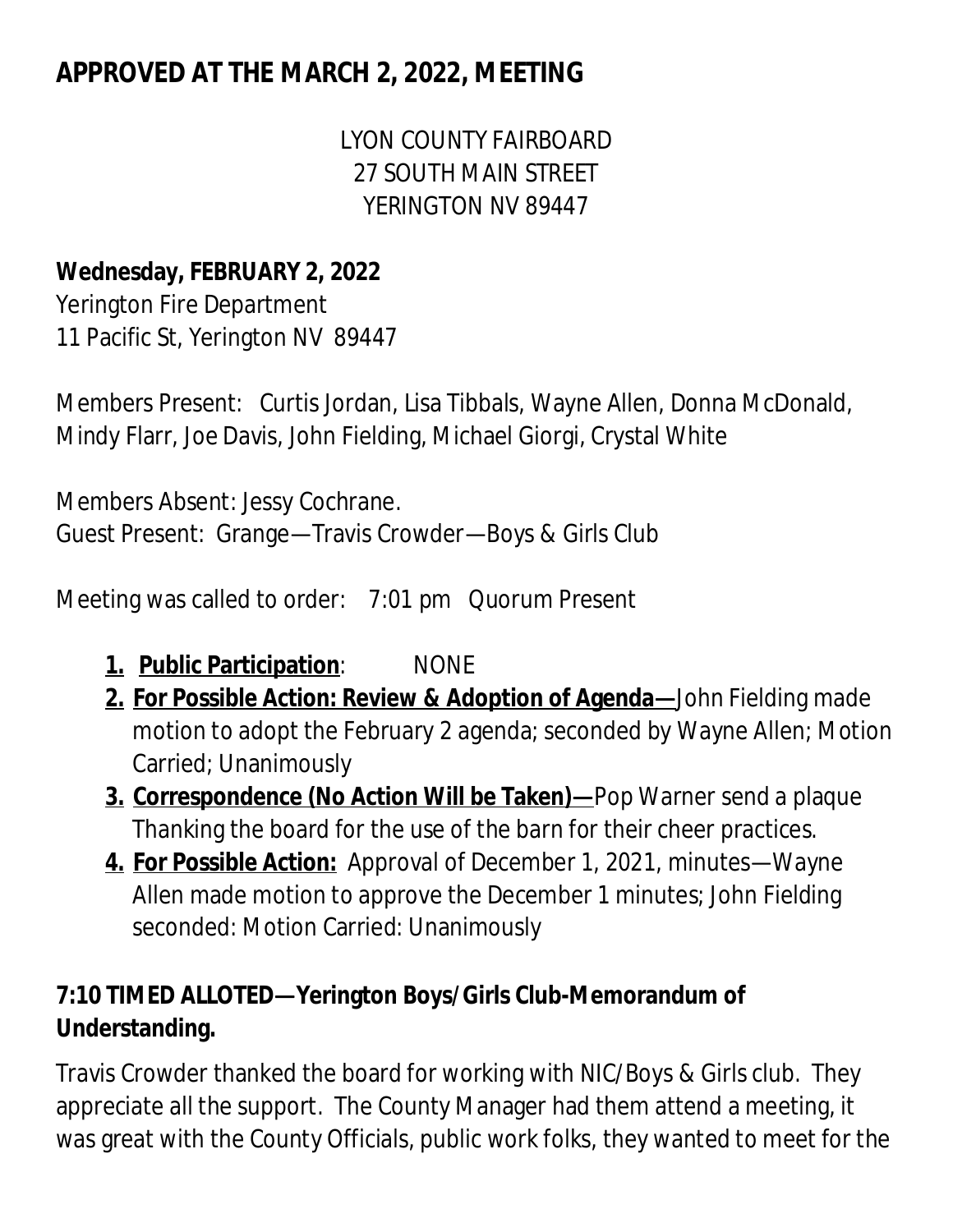# **APPROVED AT THE MARCH 2, 2022, MEETING**

LYON COUNTY FAIRBOARD 27 SOUTH MAIN STREET YERINGTON NV 89447

# **Wednesday, FEBRUARY 2, 2022**

Yerington Fire Department 11 Pacific St, Yerington NV 89447

Members Present: Curtis Jordan, Lisa Tibbals, Wayne Allen, Donna McDonald, Mindy Flarr, Joe Davis, John Fielding, Michael Giorgi, Crystal White

Members Absent: Jessy Cochrane. Guest Present: Grange—Travis Crowder—Boys & Girls Club

Meeting was called to order: 7:01 pm Quorum Present

- **1. Public Participation**: NONE
- **2. For Possible Action: Review & Adoption of Agenda—**John Fielding made motion to adopt the February 2 agenda; seconded by Wayne Allen; Motion Carried; Unanimously
- **3. Correspondence (No Action Will be Taken)—**Pop Warner send a plaque Thanking the board for the use of the barn for their cheer practices.
- **4. For Possible Action:** Approval of December 1, 2021, minutes—Wayne Allen made motion to approve the December 1 minutes; John Fielding seconded: Motion Carried: Unanimously

# **7:10 TIMED ALLOTED—Yerington Boys/Girls Club-Memorandum of Understanding.**

Travis Crowder thanked the board for working with NIC/Boys & Girls club. They appreciate all the support. The County Manager had them attend a meeting, it was great with the County Officials, public work folks, they wanted to meet for the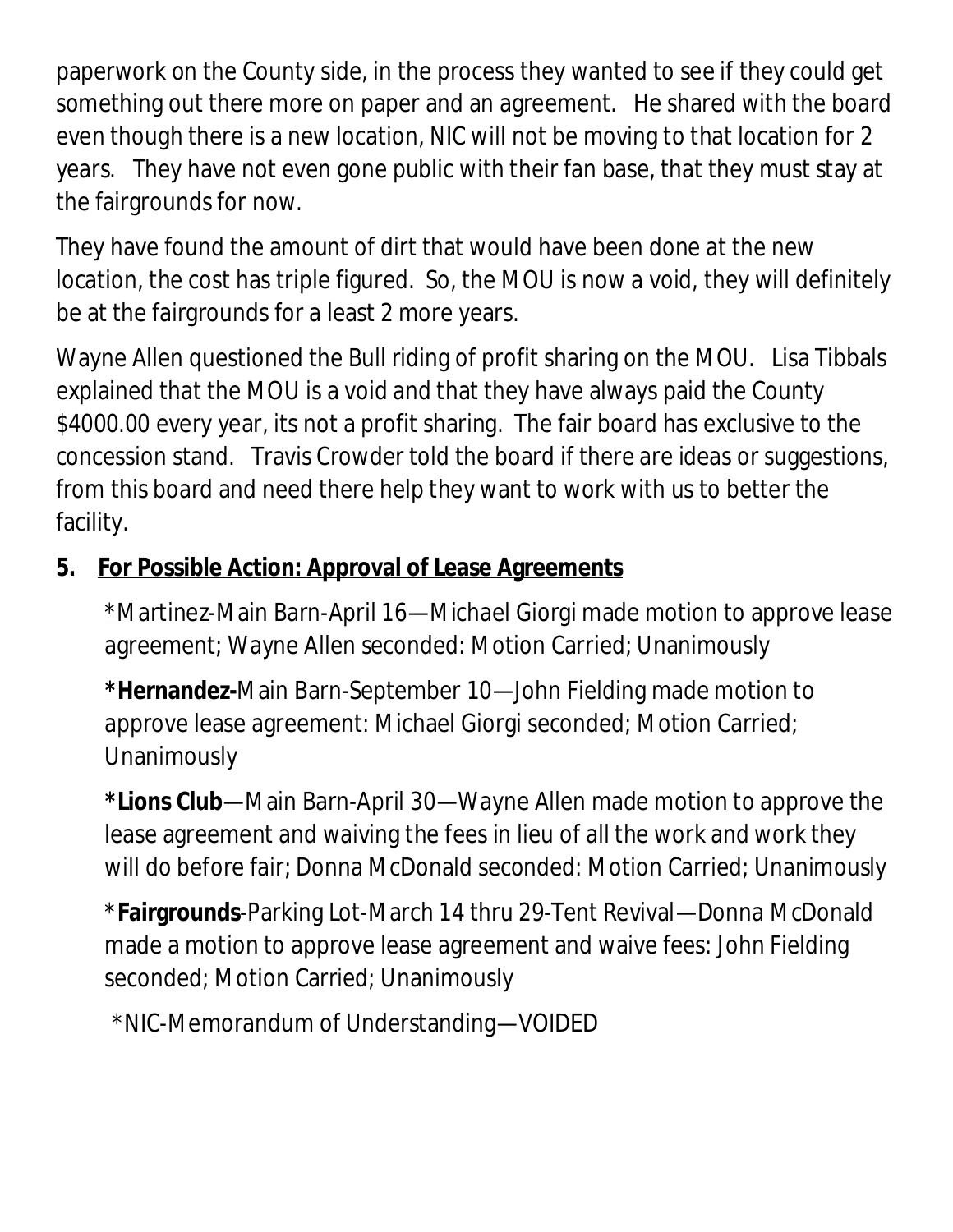paperwork on the County side, in the process they wanted to see if they could get something out there more on paper and an agreement. He shared with the board even though there is a new location, NIC will not be moving to that location for 2 years. They have not even gone public with their fan base, that they must stay at the fairgrounds for now.

They have found the amount of dirt that would have been done at the new location, the cost has triple figured. So, the MOU is now a void, they will definitely be at the fairgrounds for a least 2 more years.

Wayne Allen questioned the Bull riding of profit sharing on the MOU. Lisa Tibbals explained that the MOU is a void and that they have always paid the County \$4000.00 every year, its not a profit sharing. The fair board has exclusive to the concession stand. Travis Crowder told the board if there are ideas or suggestions, from this board and need there help they want to work with us to better the facility.

# **5. For Possible Action: Approval of Lease Agreements**

\*Martinez-Main Barn-April 16—Michael Giorgi made motion to approve lease agreement; Wayne Allen seconded: Motion Carried; Unanimously

**\*Hernandez-**Main Barn-September 10—John Fielding made motion to approve lease agreement: Michael Giorgi seconded; Motion Carried; Unanimously

**\*Lions Club**—Main Barn-April 30—Wayne Allen made motion to approve the lease agreement and waiving the fees in lieu of all the work and work they will do before fair; Donna McDonald seconded: Motion Carried; Unanimously

\***Fairgrounds**-Parking Lot-March 14 thru 29-Tent Revival—Donna McDonald made a motion to approve lease agreement and waive fees: John Fielding seconded; Motion Carried; Unanimously

\*NIC-Memorandum of Understanding—VOIDED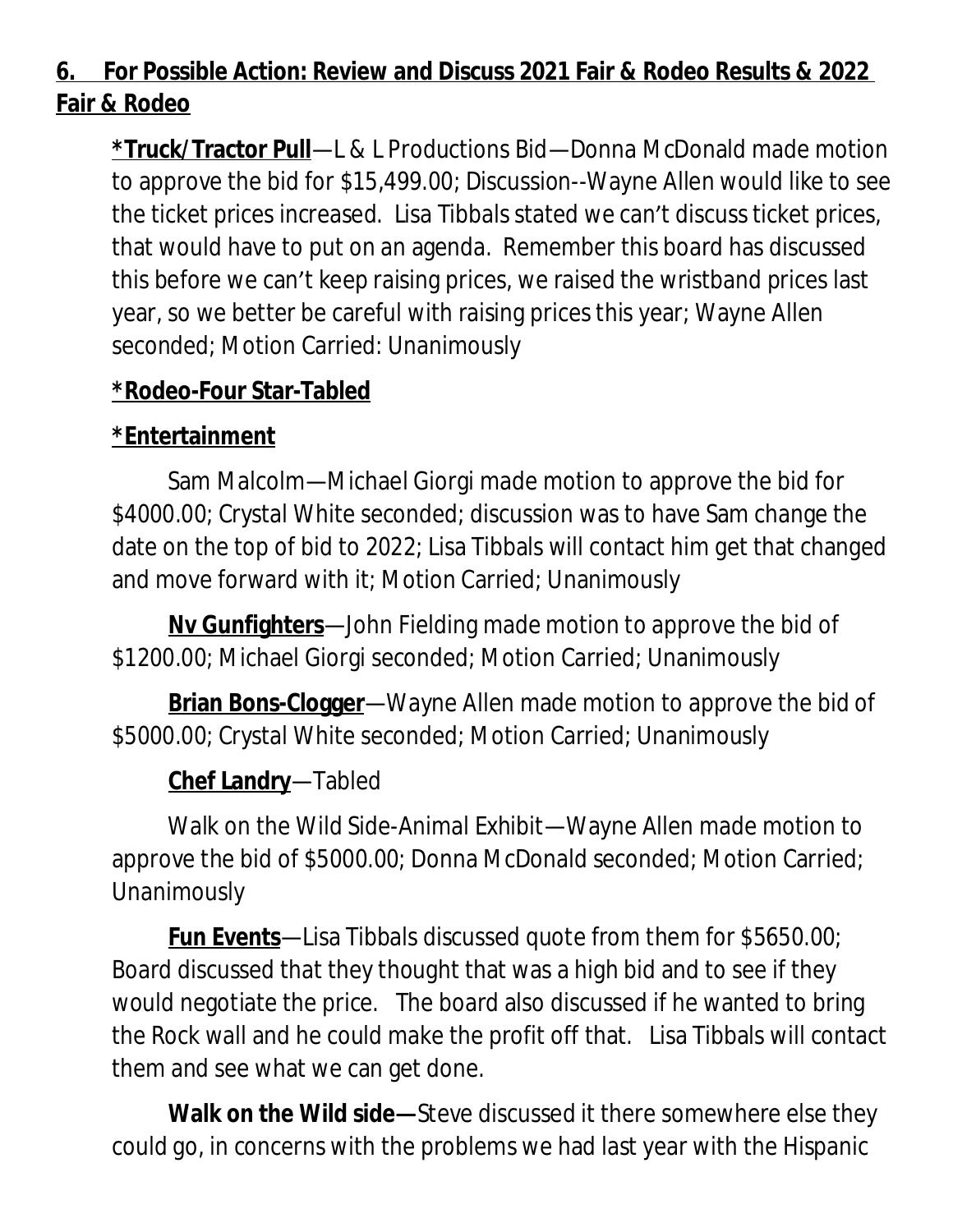# **6. For Possible Action: Review and Discuss 2021 Fair & Rodeo Results & 2022 Fair & Rodeo**

**\*Truck/Tractor Pull**—L & L Productions Bid—Donna McDonald made motion to approve the bid for \$15,499.00; Discussion--Wayne Allen would like to see the ticket prices increased. Lisa Tibbals stated we can't discuss ticket prices, that would have to put on an agenda. Remember this board has discussed this before we can't keep raising prices, we raised the wristband prices last year, so we better be careful with raising prices this year; Wayne Allen seconded; Motion Carried: Unanimously

#### **\*Rodeo-Four Star-Tabled**

# **\*Entertainment**

Sam Malcolm—Michael Giorgi made motion to approve the bid for \$4000.00; Crystal White seconded; discussion was to have Sam change the date on the top of bid to 2022; Lisa Tibbals will contact him get that changed and move forward with it; Motion Carried; Unanimously

**Nv Gunfighters**—John Fielding made motion to approve the bid of \$1200.00; Michael Giorgi seconded; Motion Carried; Unanimously

**Brian Bons-Clogger**—Wayne Allen made motion to approve the bid of \$5000.00; Crystal White seconded; Motion Carried; Unanimously

# **Chef Landry**—Tabled

Walk on the Wild Side-Animal Exhibit—Wayne Allen made motion to approve the bid of \$5000.00; Donna McDonald seconded; Motion Carried; Unanimously

**Fun Events**—Lisa Tibbals discussed quote from them for \$5650.00; Board discussed that they thought that was a high bid and to see if they would negotiate the price. The board also discussed if he wanted to bring the Rock wall and he could make the profit off that. Lisa Tibbals will contact them and see what we can get done.

**Walk on the Wild side—**Steve discussed it there somewhere else they could go, in concerns with the problems we had last year with the Hispanic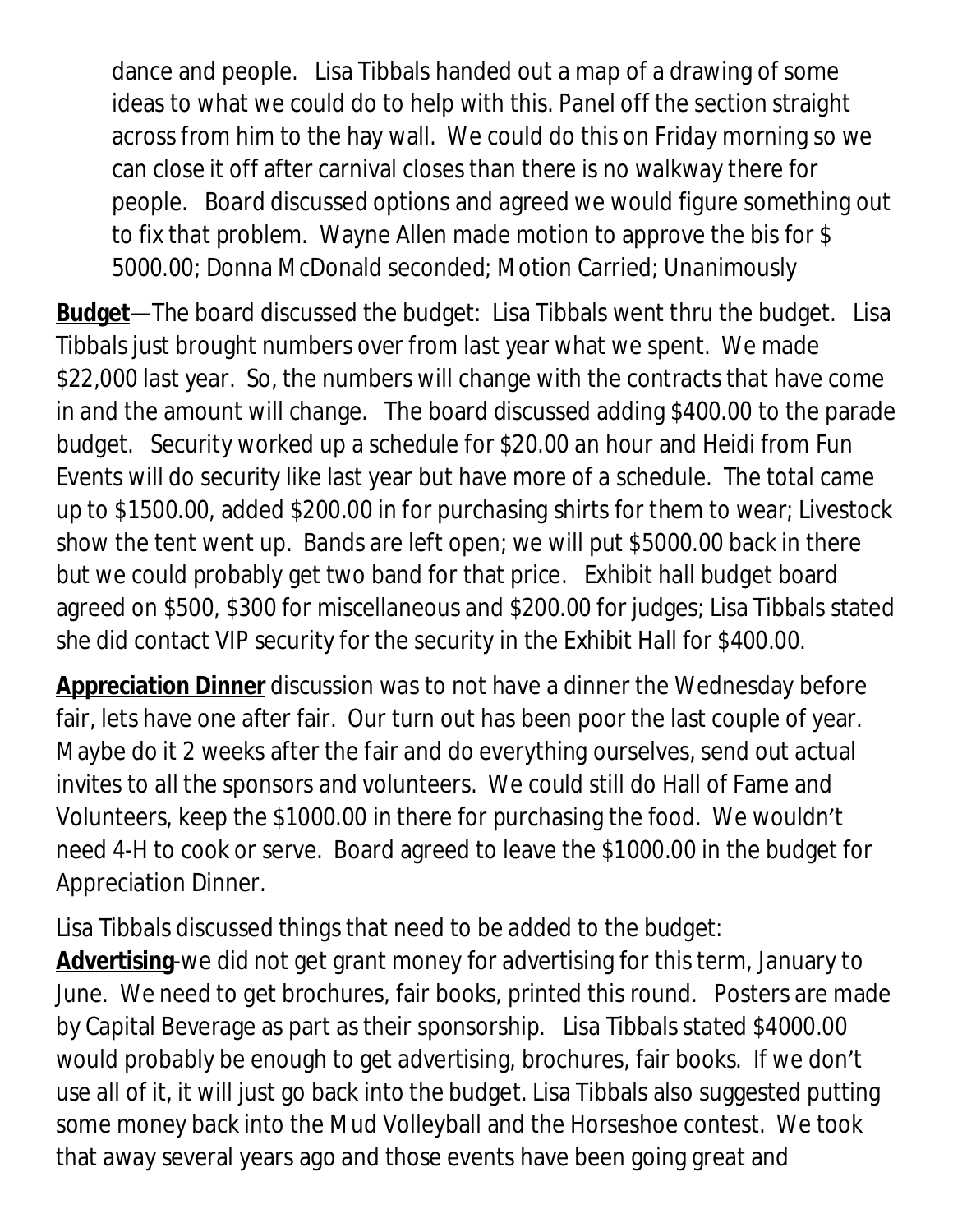dance and people. Lisa Tibbals handed out a map of a drawing of some ideas to what we could do to help with this. Panel off the section straight across from him to the hay wall. We could do this on Friday morning so we can close it off after carnival closes than there is no walkway there for people. Board discussed options and agreed we would figure something out to fix that problem. Wayne Allen made motion to approve the bis for \$ 5000.00; Donna McDonald seconded; Motion Carried; Unanimously

**Budget**—The board discussed the budget: Lisa Tibbals went thru the budget. Lisa Tibbals just brought numbers over from last year what we spent. We made \$22,000 last year. So, the numbers will change with the contracts that have come in and the amount will change. The board discussed adding \$400.00 to the parade budget. Security worked up a schedule for \$20.00 an hour and Heidi from Fun Events will do security like last year but have more of a schedule. The total came up to \$1500.00, added \$200.00 in for purchasing shirts for them to wear; Livestock show the tent went up. Bands are left open; we will put \$5000.00 back in there but we could probably get two band for that price. Exhibit hall budget board agreed on \$500, \$300 for miscellaneous and \$200.00 for judges; Lisa Tibbals stated she did contact VIP security for the security in the Exhibit Hall for \$400.00.

**Appreciation Dinner** discussion was to not have a dinner the Wednesday before fair, lets have one after fair. Our turn out has been poor the last couple of year. Maybe do it 2 weeks after the fair and do everything ourselves, send out actual invites to all the sponsors and volunteers. We could still do Hall of Fame and Volunteers, keep the \$1000.00 in there for purchasing the food. We wouldn't need 4-H to cook or serve. Board agreed to leave the \$1000.00 in the budget for Appreciation Dinner.

Lisa Tibbals discussed things that need to be added to the budget: **Advertising**-we did not get grant money for advertising for this term, January to June. We need to get brochures, fair books, printed this round. Posters are made by Capital Beverage as part as their sponsorship. Lisa Tibbals stated \$4000.00 would probably be enough to get advertising, brochures, fair books. If we don't use all of it, it will just go back into the budget. Lisa Tibbals also suggested putting some money back into the Mud Volleyball and the Horseshoe contest. We took that away several years ago and those events have been going great and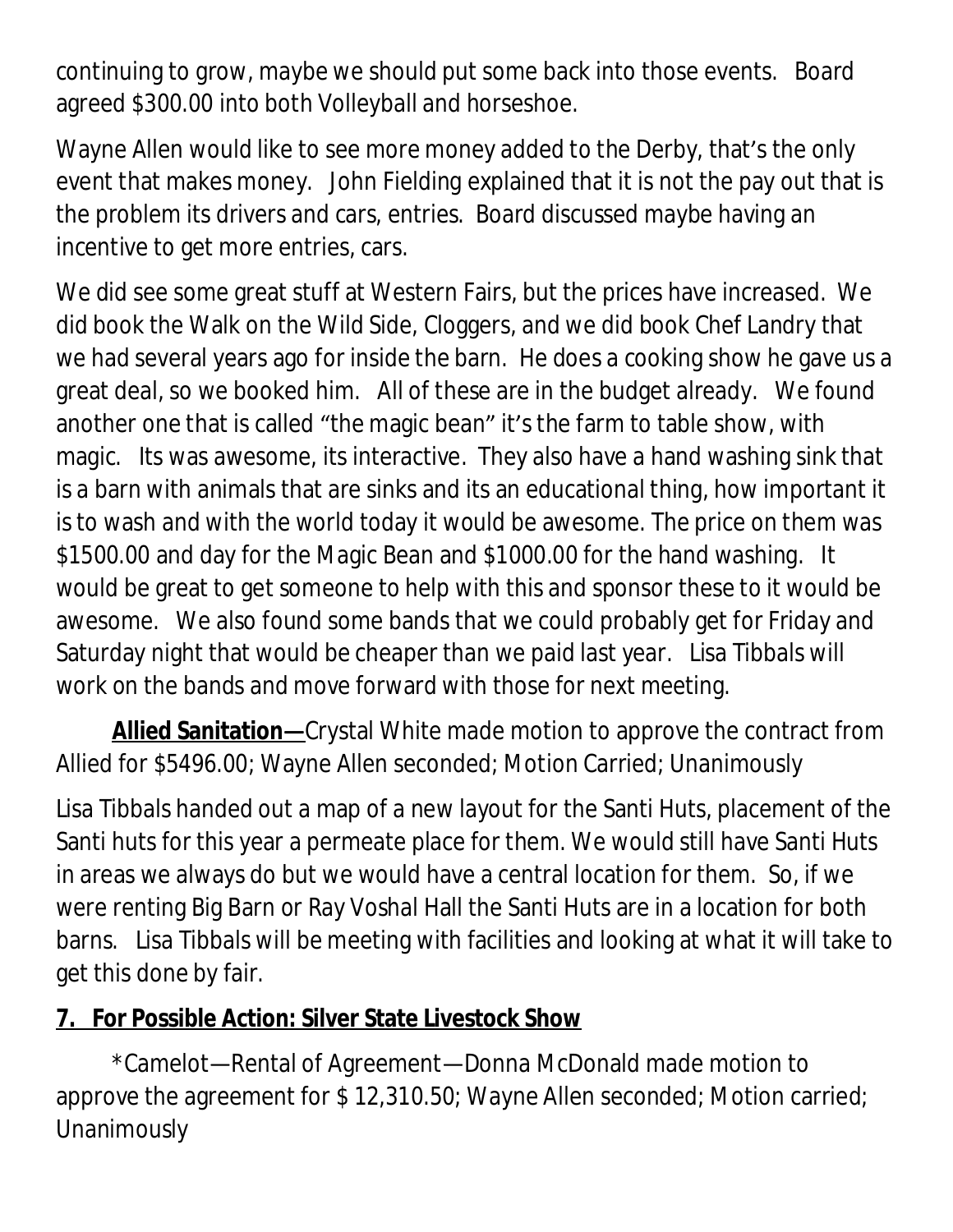continuing to grow, maybe we should put some back into those events. Board agreed \$300.00 into both Volleyball and horseshoe.

Wayne Allen would like to see more money added to the Derby, that's the only event that makes money. John Fielding explained that it is not the pay out that is the problem its drivers and cars, entries. Board discussed maybe having an incentive to get more entries, cars.

We did see some great stuff at Western Fairs, but the prices have increased. We did book the Walk on the Wild Side, Cloggers, and we did book Chef Landry that we had several years ago for inside the barn. He does a cooking show he gave us a great deal, so we booked him. All of these are in the budget already. We found another one that is called "the magic bean" it's the farm to table show, with magic. Its was awesome, its interactive. They also have a hand washing sink that is a barn with animals that are sinks and its an educational thing, how important it is to wash and with the world today it would be awesome. The price on them was \$1500.00 and day for the Magic Bean and \$1000.00 for the hand washing. It would be great to get someone to help with this and sponsor these to it would be awesome. We also found some bands that we could probably get for Friday and Saturday night that would be cheaper than we paid last year. Lisa Tibbals will work on the bands and move forward with those for next meeting.

**Allied Sanitation—**Crystal White made motion to approve the contract from Allied for \$5496.00; Wayne Allen seconded; Motion Carried; Unanimously

Lisa Tibbals handed out a map of a new layout for the Santi Huts, placement of the Santi huts for this year a permeate place for them. We would still have Santi Huts in areas we always do but we would have a central location for them. So, if we were renting Big Barn or Ray Voshal Hall the Santi Huts are in a location for both barns. Lisa Tibbals will be meeting with facilities and looking at what it will take to get this done by fair.

# **7. For Possible Action: Silver State Livestock Show**

\*Camelot—Rental of Agreement—Donna McDonald made motion to approve the agreement for \$ 12,310.50; Wayne Allen seconded; Motion carried; Unanimously